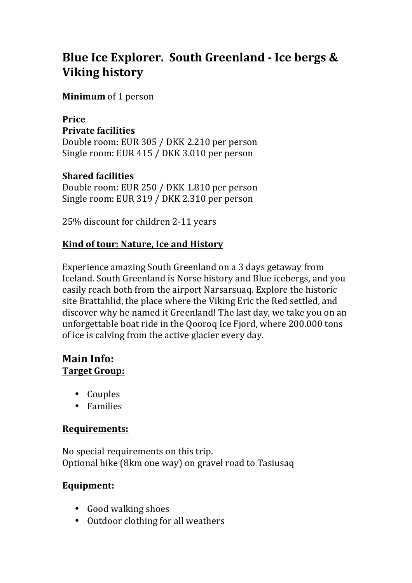# **Blue Ice Explorer. South Greenland - Ice bergs & Viking history**

**Minimum** of 1 person

# **Price Private facilities**

Double room: EUR 305 / DKK 2.210 per person Single room: EUR 415 / DKK 3.010 per person

#### **Shared facilities**

Double room: EUR 250 / DKK 1.810 per person Single room: EUR 319 / DKK 2.310 per person

25% discount for children 2-11 years

#### **Kind of tour: Nature, Ice and History**

Experience amazing South Greenland on a 3 days getaway from Iceland. South Greenland is Norse history and Blue icebergs, and you easily reach both from the airport Narsarsuag. Explore the historic site Brattahlid, the place where the Viking Eric the Red settled, and discover why he named it Greenland! The last day, we take you on an unforgettable boat ride in the Ooorog Ice Fiord, where 200.000 tons of ice is calving from the active glacier every day.

#### **Main Info: Target Group:**

- Couples
- Families

#### **Requirements:**

No special requirements on this trip. Optional hike (8km one way) on gravel road to Tasiusaq

#### **Equipment:**

- Good walking shoes
- Outdoor clothing for all weathers